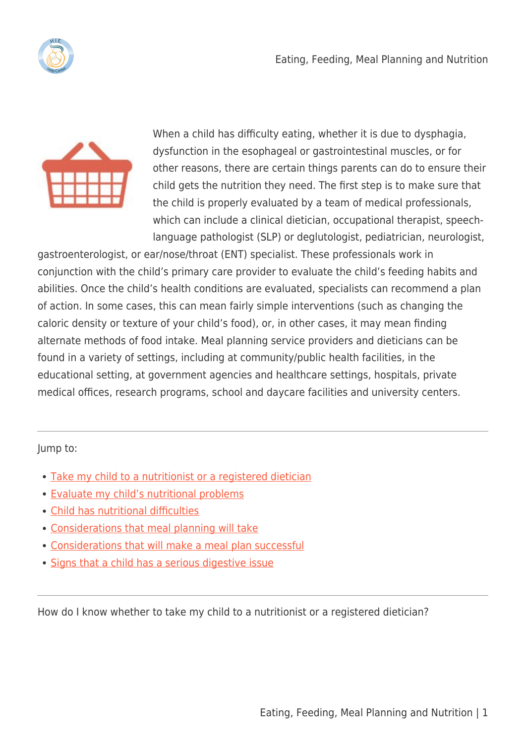



When a child has difficulty eating, whether it is due to dysphagia, dysfunction in the esophageal or gastrointestinal muscles, or for other reasons, there are certain things parents can do to ensure their child gets the nutrition they need. The first step is to make sure that the child is properly evaluated by a team of medical professionals, which can include a clinical dietician, occupational therapist, speechlanguage pathologist (SLP) or deglutologist, pediatrician, neurologist,

gastroenterologist, or ear/nose/throat (ENT) specialist. These professionals work in conjunction with the child's primary care provider to evaluate the child's feeding habits and abilities. Once the child's health conditions are evaluated, specialists can recommend a plan of action. In some cases, this can mean fairly simple interventions (such as changing the caloric density or texture of your child's food), or, in other cases, it may mean finding alternate methods of food intake. Meal planning service providers and dieticians can be found in a variety of settings, including at community/public health facilities, in the educational setting, at government agencies and healthcare settings, hospitals, private medical offices, research programs, school and daycare facilities and university centers.

Jump to:

- [Take my child to a nutritionist or a registered dietician](#page--1-0)
- [Evaluate my child's nutritional problems](#page--1-0)
- [Child has nutritional difficulties](#page--1-0)
- [Considerations that meal planning will take](#page--1-0)
- [Considerations that will make a meal plan successful](#page--1-0)
- [Signs that a child has a serious digestive issue](#page--1-0)

How do I know whether to take my child to a nutritionist or a registered dietician?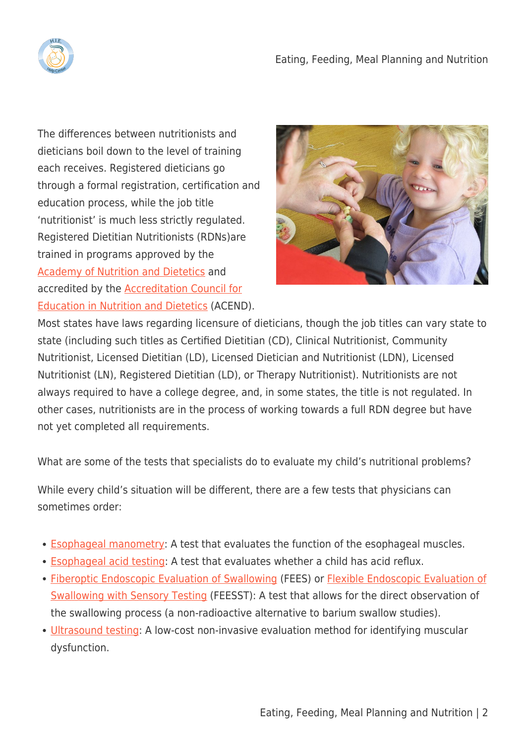

The differences between nutritionists and dieticians boil down to the level of training each receives. Registered dieticians go through a formal registration, certification and education process, while the job title 'nutritionist' is much less strictly regulated. Registered Dietitian Nutritionists (RDNs)are trained in programs approved by the [Academy of Nutrition and Dietetics](http://www.eatrightacend.org/ACEND/) and accredited by the [Accreditation Council for](http://www.eatrightacend.org/ACEND/content.aspx?id=6442485414) [Education in Nutrition and Dietetics](http://www.eatrightacend.org/ACEND/content.aspx?id=6442485414) (ACEND).



Most states have laws regarding licensure of dieticians, though the job titles can vary state to state (including such titles as Certified Dietitian (CD), Clinical Nutritionist, Community Nutritionist, Licensed Dietitian (LD), Licensed Dietician and Nutritionist (LDN), Licensed Nutritionist (LN), Registered Dietitian (LD), or Therapy Nutritionist). Nutritionists are not always required to have a college degree, and, in some states, the title is not regulated. In other cases, nutritionists are in the process of working towards a full RDN degree but have not yet completed all requirements.

What are some of the tests that specialists do to evaluate my child's nutritional problems?

While every child's situation will be different, there are a few tests that physicians can sometimes order:

- [Esophageal manometry](http://my.clevelandclinic.org/health/diagnostics/hic_Esophageal_Manometry_Test): A test that evaluates the function of the esophageal muscles.
- [Esophageal acid testing:](http://my.clevelandclinic.org/health/diagnostics/hic_24-Hour_Esophageal_pH_Test) A test that evaluates whether a child has acid reflux.
- [Fiberoptic Endoscopic Evaluation of Swallowing](http://www.aetna.com/cpb/medical/data/200_299/0248.html) (FEES) or [Flexible Endoscopic Evaluation of](http://www.feesst.com/) [Swallowing with Sensory Testing](http://www.feesst.com/) (FEESST): A test that allows for the direct observation of the swallowing process (a non-radioactive alternative to barium swallow studies).
- [Ultrasound testing](http://www.scielo.br/scielo.php?pid=S2317-64312014000400412&script=sci_arttext&tlng=en): A low-cost non-invasive evaluation method for identifying muscular dysfunction.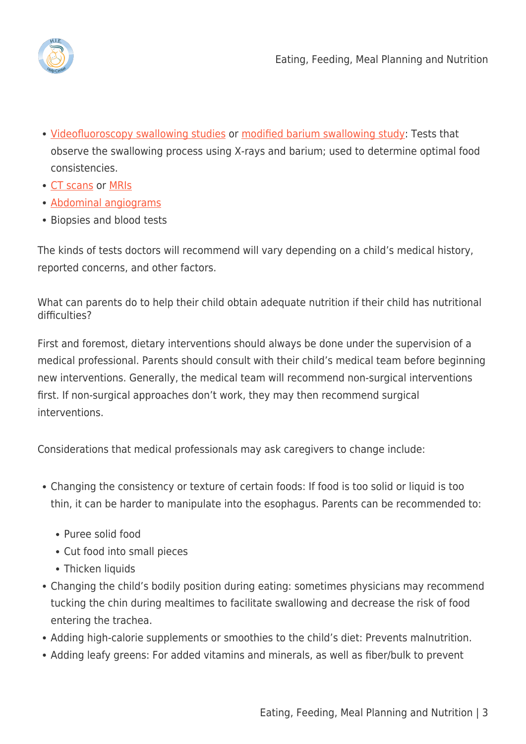

- [Videofluoroscopy swallowing studies](http://www.asha.org/public/speech/swallowing/Videofluoroscopic-Swallowing-Study/) or [modified barium swallowing study](http://www.radiologyinfo.org/en/info.cfm?pg=modbariumswallow): Tests that observe the swallowing process using X-rays and barium; used to determine optimal food consistencies.
- [CT scans](http://www.radiologyinfo.org/en/info.cfm?pg=bodyct) or [MRIs](http://www.radiologyinfo.org/en/info.cfm?pg=bodymr)
- [Abdominal angiograms](http://www.hopkinsmedicine.org/healthlibrary/test_procedures/gastroenterology/abdominal_angiogram_92,p07714/)
- Biopsies and blood tests

The kinds of tests doctors will recommend will vary depending on a child's medical history, reported concerns, and other factors.

What can parents do to help their child obtain adequate nutrition if their child has nutritional difficulties?

First and foremost, dietary interventions should always be done under the supervision of a medical professional. Parents should consult with their child's medical team before beginning new interventions. Generally, the medical team will recommend non-surgical interventions first. If non-surgical approaches don't work, they may then recommend surgical interventions.

Considerations that medical professionals may ask caregivers to change include:

- Changing the consistency or texture of certain foods: If food is too solid or liquid is too thin, it can be harder to manipulate into the esophagus. Parents can be recommended to:
	- Puree solid food
	- Cut food into small pieces
	- Thicken liquids
- Changing the child's bodily position during eating: sometimes physicians may recommend tucking the chin during mealtimes to facilitate swallowing and decrease the risk of food entering the trachea.
- Adding high-calorie supplements or smoothies to the child's diet: Prevents malnutrition.
- Adding leafy greens: For added vitamins and minerals, as well as fiber/bulk to prevent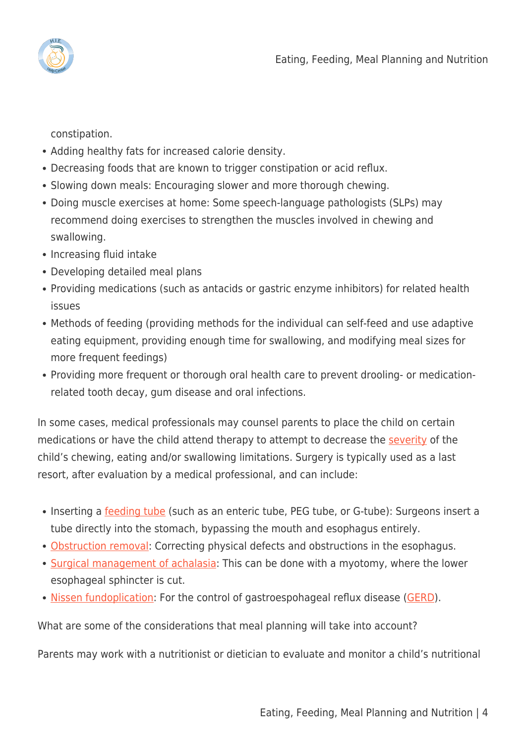

constipation.

- Adding healthy fats for increased calorie density.
- Decreasing foods that are known to trigger constipation or acid reflux.
- Slowing down meals: Encouraging slower and more thorough chewing.
- Doing muscle exercises at home: Some speech-language pathologists (SLPs) may recommend doing exercises to strengthen the muscles involved in chewing and swallowing.
- Increasing fluid intake
- Developing detailed meal plans
- Providing medications (such as antacids or gastric enzyme inhibitors) for related health issues
- Methods of feeding (providing methods for the individual can self-feed and use adaptive eating equipment, providing enough time for swallowing, and modifying meal sizes for more frequent feedings)
- Providing more frequent or thorough oral health care to prevent drooling- or medicationrelated tooth decay, gum disease and oral infections.

In some cases, medical professionals may counsel parents to place the child on certain medications or have the child attend therapy to attempt to decrease the [severity](http://www.aetna.com/cpb/medical/data/600_699/0625.html) of the child's chewing, eating and/or swallowing limitations. Surgery is typically used as a last resort, after evaluation by a medical professional, and can include:

- Inserting a **[feeding tube](http://www.feedingtubeawareness.org/tube-feeding-basics/tubetypes/)** (such as an enteric tube, PEG tube, or G-tube): Surgeons insert a tube directly into the stomach, bypassing the mouth and esophagus entirely.
- [Obstruction removal](http://www.alberthararymd.com/conditions-we-treat/swallowing-disorders/): Correcting physical defects and obstructions in the esophagus.
- [Surgical management of achalasia:](http://www.alberthararymd.com/conditions-we-treat/swallowing-disorders/) This can be done with a myotomy, where the lower esophageal sphincter is cut.
- [Nissen fundoplication:](http://www.reflux.org/reflux/webdoc01.nsf/(vwWebPage)/Surgery.htm?OpenDocument) For the control of gastroespohageal reflux disease ([GERD\)](https://www.niddk.nih.gov/health-information/health-topics/digestive-diseases/ger-and-gerd-in-adults/Pages/overview.aspx).

What are some of the considerations that meal planning will take into account?

Parents may work with a nutritionist or dietician to evaluate and monitor a child's nutritional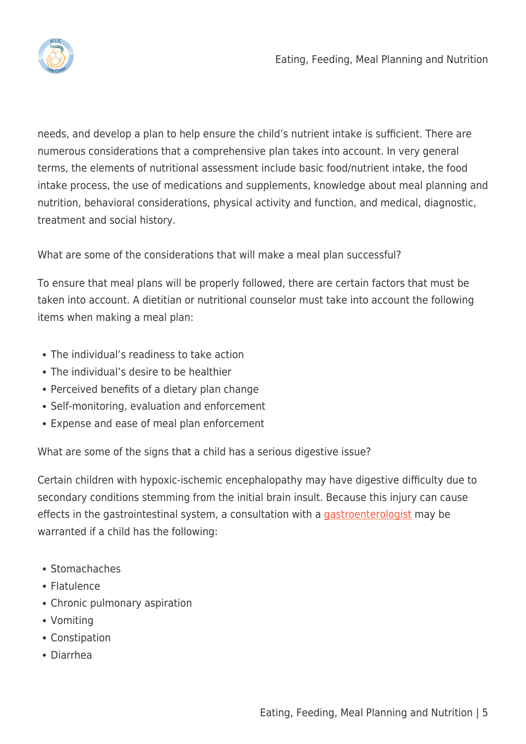

needs, and develop a plan to help ensure the child's nutrient intake is sufficient. There are numerous considerations that a comprehensive plan takes into account. In very general terms, the elements of nutritional assessment include basic food/nutrient intake, the food intake process, the use of medications and supplements, knowledge about meal planning and nutrition, behavioral considerations, physical activity and function, and medical, diagnostic, treatment and social history.

What are some of the considerations that will make a meal plan successful?

To ensure that meal plans will be properly followed, there are certain factors that must be taken into account. A dietitian or nutritional counselor must take into account the following items when making a meal plan:

- The individual's readiness to take action
- The individual's desire to be healthier
- Perceived benefits of a dietary plan change
- Self-monitoring, evaluation and enforcement
- Expense and ease of meal plan enforcement

What are some of the signs that a child has a serious digestive issue?

Certain children with hypoxic-ischemic encephalopathy may have digestive difficulty due to secondary conditions stemming from the initial brain insult. Because this injury can cause effects in the gastrointestinal system, a consultation with a [gastroenterologist](http://patients.gi.org/what-is-a-gastroenterologist/) may be warranted if a child has the following:

- Stomachaches
- Flatulence
- Chronic pulmonary aspiration
- Vomiting
- Constination
- Diarrhea